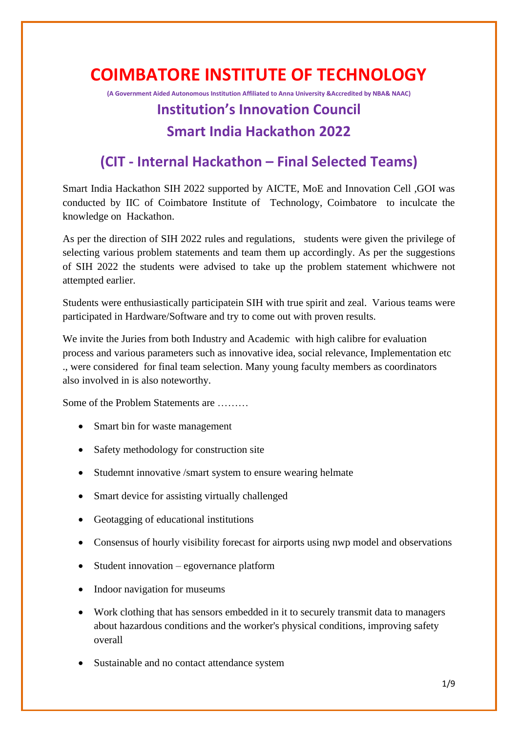# **COIMBATORE INSTITUTE OF TECHNOLOGY**

**(A Government Aided Autonomous Institution Affiliated to Anna University &Accredited by NBA& NAAC)**

### **Institution's Innovation Council Smart India Hackathon 2022**

## **(CIT - Internal Hackathon – Final Selected Teams)**

Smart India Hackathon SIH 2022 supported by AICTE, MoE and Innovation Cell ,GOI was conducted by IIC of Coimbatore Institute of Technology, Coimbatore to inculcate the knowledge on Hackathon.

As per the direction of SIH 2022 rules and regulations, students were given the privilege of selecting various problem statements and team them up accordingly. As per the suggestions of SIH 2022 the students were advised to take up the problem statement whichwere not attempted earlier.

Students were enthusiastically participatein SIH with true spirit and zeal. Various teams were participated in Hardware/Software and try to come out with proven results.

We invite the Juries from both Industry and Academic with high calibre for evaluation process and various parameters such as innovative idea, social relevance, Implementation etc ., were considered for final team selection. Many young faculty members as coordinators also involved in is also noteworthy.

Some of the Problem Statements are ………

- Smart bin for waste management
- Safety methodology for construction site
- Studemnt innovative /smart system to ensure wearing helmate
- Smart device for assisting virtually challenged
- Geotagging of educational institutions
- Consensus of hourly visibility forecast for airports using nwp model and observations
- Student innovation egovernance platform
- Indoor navigation for museums
- Work clothing that has sensors embedded in it to securely transmit data to managers about hazardous conditions and the worker's physical conditions, improving safety overall
- Sustainable and no contact attendance system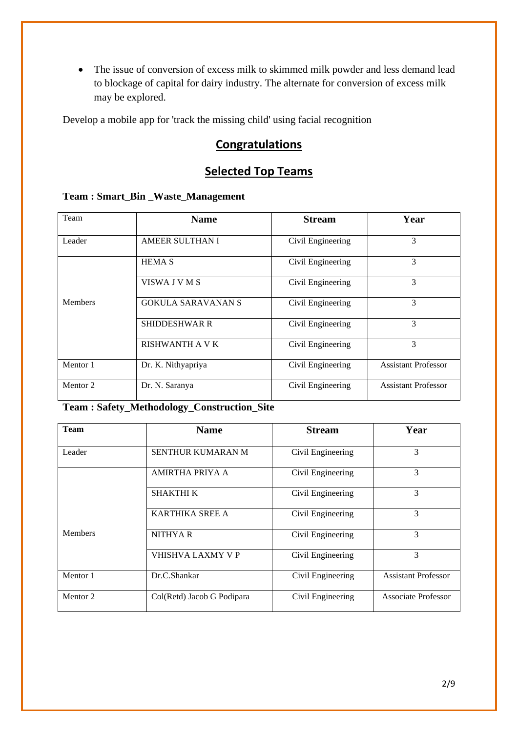• The issue of conversion of excess milk to skimmed milk powder and less demand lead to blockage of capital for dairy industry. The alternate for conversion of excess milk may be explored.

Develop a mobile app for 'track the missing child' using facial recognition

#### **Congratulations**

### **Selected Top Teams**

#### **Team : Smart\_Bin \_Waste\_Management**

| Team           | <b>Name</b>               | <b>Stream</b>     | Year                       |
|----------------|---------------------------|-------------------|----------------------------|
|                |                           |                   |                            |
| Leader         | <b>AMEER SULTHAN I</b>    | Civil Engineering | 3                          |
|                | <b>HEMA S</b>             | Civil Engineering | 3                          |
|                | VISWA J V M S             | Civil Engineering | 3                          |
| <b>Members</b> | <b>GOKULA SARAVANAN S</b> | Civil Engineering | 3                          |
|                | <b>SHIDDESHWAR R</b>      | Civil Engineering | 3                          |
|                | RISHWANTH A V K           | Civil Engineering | 3                          |
| Mentor 1       | Dr. K. Nithyapriya        | Civil Engineering | <b>Assistant Professor</b> |
| Mentor 2       | Dr. N. Saranya            | Civil Engineering | <b>Assistant Professor</b> |

#### **Team : Safety\_Methodology\_Construction\_Site**

| <b>Team</b>         | <b>Name</b>                | <b>Stream</b>     | Year                       |
|---------------------|----------------------------|-------------------|----------------------------|
| Leader              | SENTHUR KUMARAN M          | Civil Engineering | 3                          |
|                     | <b>AMIRTHA PRIYA A</b>     | Civil Engineering | 3                          |
|                     | <b>SHAKTHI K</b>           | Civil Engineering | 3                          |
|                     | <b>KARTHIKA SREE A</b>     | Civil Engineering | 3                          |
| <b>Members</b>      | <b>NITHYAR</b>             | Civil Engineering | $\mathcal{R}$              |
|                     | VHISHVA LAXMY V P          | Civil Engineering | 3                          |
| Mentor 1            | Dr.C.Shankar               | Civil Engineering | <b>Assistant Professor</b> |
| Mentor <sub>2</sub> | Col(Retd) Jacob G Podipara | Civil Engineering | <b>Associate Professor</b> |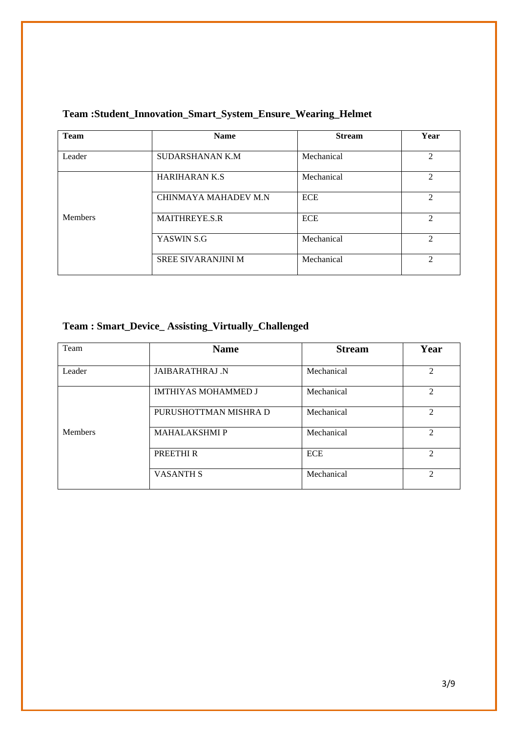| <b>Team</b>    | <b>Name</b>               | <b>Stream</b> | Year                        |
|----------------|---------------------------|---------------|-----------------------------|
| Leader         | <b>SUDARSHANAN K.M</b>    | Mechanical    | $\mathfrak{D}$              |
|                | <b>HARIHARAN K.S</b>      | Mechanical    | $\mathfrak{D}$              |
|                | CHINMAYA MAHADEV M.N.     | <b>ECE</b>    | $\mathcal{D}_{\mathcal{L}}$ |
| <b>Members</b> | <b>MAITHREYE.S.R</b>      | <b>ECE</b>    | $\mathfrak{D}$              |
|                | YASWIN S.G                | Mechanical    | $\mathcal{D}_{\mathcal{L}}$ |
|                | <b>SREE SIVARANJINI M</b> | Mechanical    | $\mathcal{D}$               |

#### **Team :Student\_Innovation\_Smart\_System\_Ensure\_Wearing\_Helmet**

#### **Team : Smart\_Device\_ Assisting\_Virtually\_Challenged**

| Team           | <b>Name</b>                | <b>Stream</b> | Year                        |
|----------------|----------------------------|---------------|-----------------------------|
| Leader         | <b>JAIBARATHRAJ N</b>      | Mechanical    | $\mathcal{D}_{\mathcal{L}}$ |
|                | <b>IMTHIYAS MOHAMMED J</b> | Mechanical    | $\mathcal{D}_{\mathcal{L}}$ |
|                | PURUSHOTTMAN MISHRA D      | Mechanical    | $\mathcal{D}_{\mathcal{L}}$ |
| <b>Members</b> | <b>MAHALAKSHMI P</b>       | Mechanical    | $\mathfrak{D}$              |
|                | PREETHI R                  | <b>ECE</b>    | $\mathcal{D}_{\mathcal{L}}$ |
|                | <b>VASANTH S</b>           | Mechanical    | $\mathfrak{D}$              |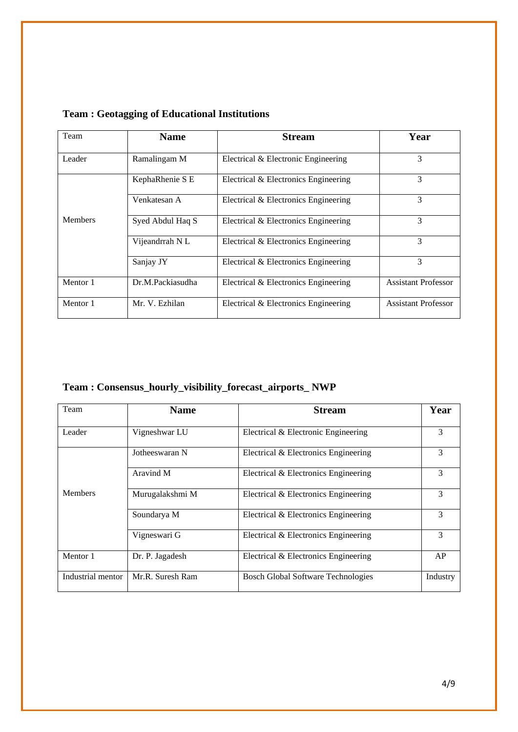| Team           | <b>Name</b>      | <b>Stream</b>                        | Year                       |
|----------------|------------------|--------------------------------------|----------------------------|
| Leader         | Ramalingam M     | Electrical & Electronic Engineering  | 3                          |
|                | KephaRhenie S E  | Electrical & Electronics Engineering | 3                          |
|                | Venkatesan A     | Electrical & Electronics Engineering | 3                          |
| <b>Members</b> | Syed Abdul Haq S | Electrical & Electronics Engineering | 3                          |
|                | Vijeandrrah NL   | Electrical & Electronics Engineering | 3                          |
|                | Sanjay JY        | Electrical & Electronics Engineering | 3                          |
| Mentor 1       | Dr.M.Packiasudha | Electrical & Electronics Engineering | <b>Assistant Professor</b> |
| Mentor 1       | Mr. V. Ezhilan   | Electrical & Electronics Engineering | <b>Assistant Professor</b> |

#### **Team : Geotagging of Educational Institutions**

**Team : Consensus\_hourly\_visibility\_forecast\_airports\_ NWP** 

| Team              | <b>Name</b>      | <b>Stream</b>                             | Year     |
|-------------------|------------------|-------------------------------------------|----------|
| Leader            | Vigneshwar LU    | Electrical & Electronic Engineering       | 3        |
|                   | Jotheeswaran N   | Electrical & Electronics Engineering      | 3        |
|                   | Aravind M        | Electrical & Electronics Engineering      | 3        |
| <b>Members</b>    | Murugalakshmi M  | Electrical & Electronics Engineering      | 3        |
|                   | Soundarya M      | Electrical & Electronics Engineering      | 3        |
|                   | Vigneswari G     | Electrical & Electronics Engineering      | 3        |
| Mentor 1          | Dr. P. Jagadesh  | Electrical & Electronics Engineering      | AP       |
| Industrial mentor | Mr.R. Suresh Ram | <b>Bosch Global Software Technologies</b> | Industry |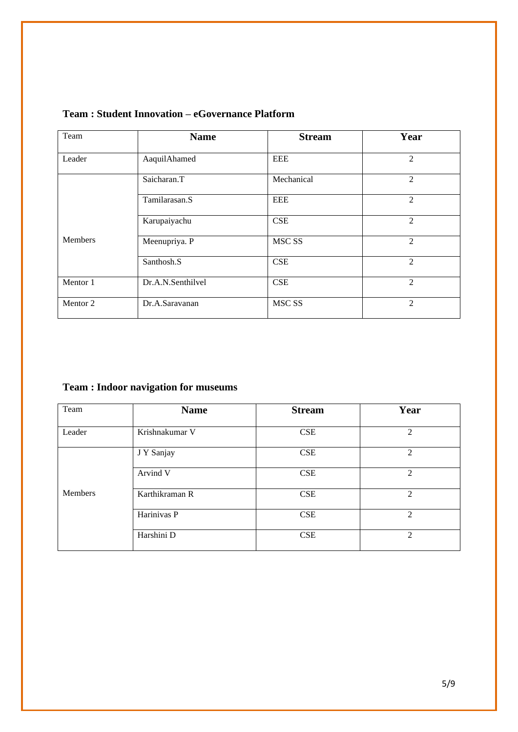| Team                | <b>Name</b>       | <b>Stream</b>     | Year           |
|---------------------|-------------------|-------------------|----------------|
|                     |                   |                   |                |
| Leader              | AaquilAhamed      | <b>EEE</b>        | 2              |
|                     |                   |                   |                |
|                     | Saicharan.T       | Mechanical        | $\overline{2}$ |
|                     |                   |                   |                |
|                     | Tamilarasan.S     | <b>EEE</b>        | $\overline{2}$ |
|                     |                   |                   |                |
|                     | Karupaiyachu      | <b>CSE</b>        | $\overline{2}$ |
|                     |                   |                   |                |
| <b>Members</b>      | Meenupriya. P     | MSC <sub>SS</sub> | $\overline{2}$ |
|                     |                   |                   |                |
|                     | Santhosh.S        | <b>CSE</b>        | $\mathcal{L}$  |
|                     |                   |                   |                |
| Mentor 1            | Dr.A.N.Senthilvel | <b>CSE</b>        | $\mathcal{L}$  |
|                     |                   |                   |                |
| Mentor <sub>2</sub> | Dr.A.Saravanan    | MSC <sub>SS</sub> | $\mathcal{L}$  |
|                     |                   |                   |                |

#### **Team : Student Innovation – eGovernance Platform**

#### **Team : Indoor navigation for museums**

| Team    | <b>Name</b>    | <b>Stream</b> | Year           |
|---------|----------------|---------------|----------------|
| Leader  | Krishnakumar V | <b>CSE</b>    | 2              |
|         | J Y Sanjay     | <b>CSE</b>    | 2              |
|         | Arvind V       | <b>CSE</b>    | 2              |
| Members | Karthikraman R | <b>CSE</b>    | 2              |
|         | Harinivas P    | <b>CSE</b>    | $\mathfrak{D}$ |
|         | Harshini D     | <b>CSE</b>    | 2              |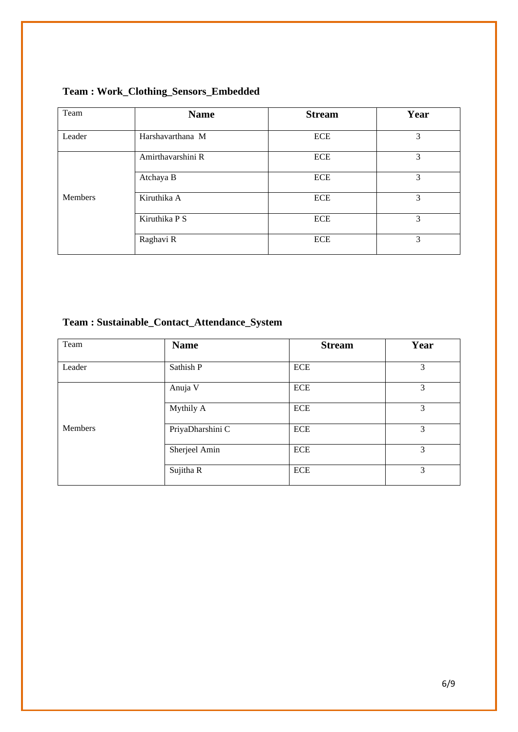| Team           | <b>Name</b>       | <b>Stream</b> | Year |
|----------------|-------------------|---------------|------|
| Leader         | Harshavarthana M  | <b>ECE</b>    | 3    |
|                | Amirthavarshini R | ECE           | 3    |
|                | Atchaya B         | <b>ECE</b>    | 3    |
| <b>Members</b> | Kiruthika A       | <b>ECE</b>    | 3    |
|                | Kiruthika P S     | <b>ECE</b>    | 3    |
|                | Raghavi R         | <b>ECE</b>    | 3    |

#### **Team : Work\_Clothing\_Sensors\_Embedded**

### **Team : Sustainable\_Contact\_Attendance\_System**

| Team    | <b>Name</b>      | <b>Stream</b> | Year          |
|---------|------------------|---------------|---------------|
| Leader  | Sathish P        | <b>ECE</b>    | 3             |
|         | Anuja V          | <b>ECE</b>    | 3             |
|         | Mythily A        | <b>ECE</b>    | 3             |
| Members | PriyaDharshini C | <b>ECE</b>    | 3             |
|         | Sherjeel Amin    | <b>ECE</b>    | $\mathcal{E}$ |
|         | Sujitha R        | <b>ECE</b>    | 3             |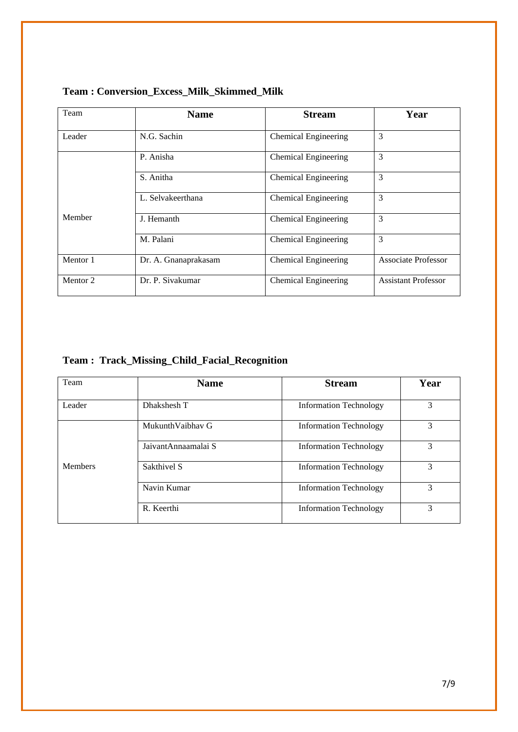| Team                | <b>Name</b>          | <b>Stream</b>               | Year                       |
|---------------------|----------------------|-----------------------------|----------------------------|
| Leader              | N.G. Sachin          | <b>Chemical Engineering</b> | 3                          |
|                     | P. Anisha            | <b>Chemical Engineering</b> | 3                          |
|                     | S. Anitha            | <b>Chemical Engineering</b> | 3                          |
|                     | L. Selvakeerthana    | <b>Chemical Engineering</b> | 3                          |
| Member              | J. Hemanth           | <b>Chemical Engineering</b> | 3                          |
|                     | M. Palani            | <b>Chemical Engineering</b> | 3                          |
| Mentor 1            | Dr. A. Gnanaprakasam | <b>Chemical Engineering</b> | <b>Associate Professor</b> |
| Mentor <sub>2</sub> | Dr. P. Sivakumar     | <b>Chemical Engineering</b> | <b>Assistant Professor</b> |

**Team : Conversion\_Excess\_Milk\_Skimmed\_Milk**

#### **Team : Track\_Missing\_Child\_Facial\_Recognition**

| Team           | <b>Name</b>          | <b>Stream</b>                 | Year          |
|----------------|----------------------|-------------------------------|---------------|
| Leader         | Dhakshesh T          | <b>Information Technology</b> | 3             |
|                | Mukunth Vaibhay G    | <b>Information Technology</b> | 3             |
|                | Jaivant Annaamalai S | <b>Information Technology</b> | 3             |
| <b>Members</b> | Sakthivel S          | <b>Information Technology</b> | 3             |
|                | Navin Kumar          | <b>Information Technology</b> | 3             |
|                | R. Keerthi           | <b>Information Technology</b> | $\mathcal{F}$ |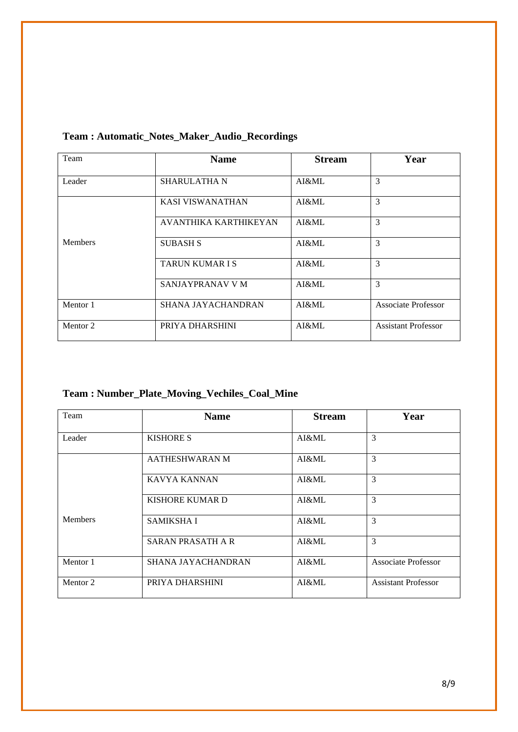| Team                | <b>Name</b>            | <b>Stream</b> | Year                       |
|---------------------|------------------------|---------------|----------------------------|
| Leader              | <b>SHARULATHA N</b>    | AI&ML         | 3                          |
|                     | KASI VISWANATHAN       | AI&ML         | 3                          |
|                     | AVANTHIKA KARTHIKEYAN  | AI&ML         | 3                          |
| <b>Members</b>      | <b>SUBASH S</b>        | AI&ML         | 3                          |
|                     | <b>TARUN KUMAR I S</b> | AI&ML         | 3                          |
|                     | SANJAYPRANAV V M       | AI&ML         | 3                          |
| Mentor 1            | SHANA JAYACHANDRAN     | AI&ML         | <b>Associate Professor</b> |
| Mentor <sub>2</sub> | PRIYA DHARSHINI        | AI&ML         | <b>Assistant Professor</b> |

#### **Team : Automatic\_Notes\_Maker\_Audio\_Recordings**

#### **Team : Number\_Plate\_Moving\_Vechiles\_Coal\_Mine**

| Team                | <b>Name</b>               | <b>Stream</b> | Year                       |
|---------------------|---------------------------|---------------|----------------------------|
| Leader              | <b>KISHORE S</b>          | AI&ML         | 3                          |
|                     | AATHESHWARAN M            | AI&ML         | 3                          |
|                     | KAVYA KANNAN              | AI&ML         | $\mathcal{E}$              |
|                     | KISHORE KUMAR D           | AI&ML         | 3                          |
| <b>Members</b>      | <b>SAMIKSHA I</b>         | AI&ML         | 3                          |
|                     | <b>SARAN PRASATH A R</b>  | AI&ML         | 3                          |
| Mentor 1            | <b>SHANA JAYACHANDRAN</b> | AI&ML         | <b>Associate Professor</b> |
| Mentor <sub>2</sub> | PRIYA DHARSHINI           | AI&ML         | <b>Assistant Professor</b> |